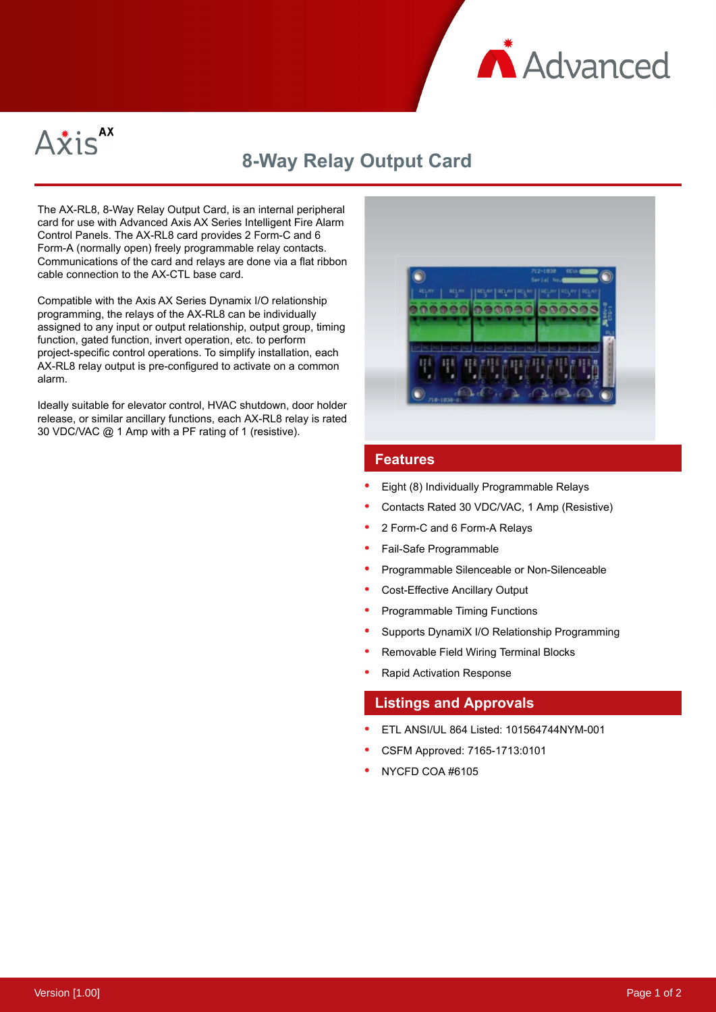



## **8-Way Relay Output Card**

The AX-RL8, 8-Way Relay Output Card, is an internal peripheral card for use with Advanced Axis AX Series Intelligent Fire Alarm Control Panels. The AX-RL8 card provides 2 Form-C and 6 Form-A (normally open) freely programmable relay contacts. Communications of the card and relays are done via a flat ribbon cable connection to the AX-CTL base card.

Compatible with the Axis AX Series Dynamix I/O relationship programming, the relays of the AX-RL8 can be individually assigned to any input or output relationship, output group, timing function, gated function, invert operation, etc. to perform project-specific control operations. To simplify installation, each AX-RL8 relay output is pre-configured to activate on a common alarm.

Ideally suitable for elevator control, HVAC shutdown, door holder release, or similar ancillary functions, each AX-RL8 relay is rated 30 VDC/VAC @ 1 Amp with a PF rating of 1 (resistive).



## **Features**

- Eight (8) Individually Programmable Relays
- Contacts Rated 30 VDC/VAC, 1 Amp (Resistive)
- 2 Form-C and 6 Form-A Relays
- Fail-Safe Programmable
- Programmable Silenceable or Non-Silenceable
- Cost-Effective Ancillary Output
- Programmable Timing Functions
- Supports DynamiX I/O Relationship Programming
- Removable Field Wiring Terminal Blocks
- Rapid Activation Response

## **Listings and Approvals**

- ETL ANSI/UL 864 Listed: 101564744NYM-001
- CSFM Approved: 7165-1713:0101
- NYCFD COA #6105